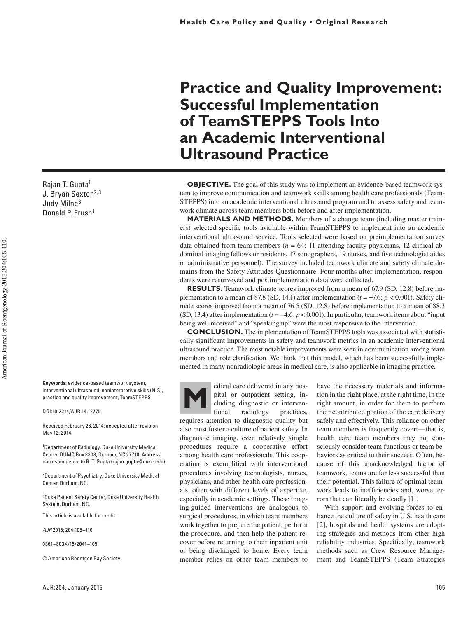# **Practice and Quality Improvement: Successful Implementation of TeamSTEPPS Tools Into an Academic Interventional Ultrasound Practice**

**OBJECTIVE.** The goal of this study was to implement an evidence-based teamwork system to improve communication and teamwork skills among health care professionals (Team-STEPPS) into an academic interventional ultrasound program and to assess safety and teamwork climate across team members both before and after implementation.

**MATERIALS AND METHODS.** Members of a change team (including master trainers) selected specific tools available within TeamSTEPPS to implement into an academic interventional ultrasound service. Tools selected were based on preimplementation survey data obtained from team members  $(n = 64: 11$  attending faculty physicians, 12 clinical abdominal imaging fellows or residents, 17 sonographers, 19 nurses, and five technologist aides or administrative personnel). The survey included teamwork climate and safety climate domains from the Safety Attitudes Questionnaire. Four months after implementation, respondents were resurveyed and postimplementation data were collected.

**RESULTS.** Teamwork climate scores improved from a mean of 67.9 (SD, 12.8) before implementation to a mean of 87.8 (SD, 14.1) after implementation ( $t = -7.6$ ;  $p < 0.001$ ). Safety climate scores improved from a mean of 76.5 (SD, 12.8) before implementation to a mean of 88.3 (SD, 13.4) after implementation (*t* = −4.6; *p* < 0.001). In particular, teamwork items about "input being well received" and "speaking up" were the most responsive to the intervention.

**CONCLUSION.** The implementation of TeamSTEPPS tools was associated with statistically significant improvements in safety and teamwork metrics in an academic interventional ultrasound practice. The most notable improvements were seen in communication among team members and role clarification. We think that this model, which has been successfully implemented in many nonradiologic areas in medical care, is also applicable in imaging practice.

> have the necessary materials and information in the right place, at the right time, in the right amount, in order for them to perform their contributed portion of the care delivery safely and effectively. This reliance on other team members is frequently covert—that is, health care team members may not consciously consider team functions or team behaviors as critical to their success. Often, because of this unacknowledged factor of teamwork, teams are far less successful than their potential. This failure of optimal teamwork leads to inefficiencies and, worse, errors that can literally be deadly [1].

> With support and evolving forces to enhance the culture of safety in U.S. health care [2], hospitals and health systems are adopting strategies and methods from other high reliability industries. Specifically, teamwork methods such as Crew Resource Management and TeamSTEPPS (Team Strategies

Rajan T. Gupta1 J. Bryan Sexton<sup>2,3</sup> Judy Milne3 Donald P. Frush1

**Keywords:** evidence-based teamwork system, interventional ultrasound, noninterpretive skills (NIS), practice and quality improvement, TeamSTEPPS

DOI:10.2214/AJR.14.12775

Received February 26, 2014; accepted after revision May 12, 2014.

<sup>1</sup> Department of Radiology, Duke University Medical Center, DUMC Box 3808, Durham, NC 27710. Address correspondence to R. T. Gupta (rajan.gupta@duke.edu).

<sup>2</sup> Department of Psychiatry, Duke University Medical Center, Durham, NC.

3 Duke Patient Safety Center, Duke University Health System, Durham, NC.

This article is available for credit.

*AJR* 2015; 204:105–110

0361–803X/15/2041–105

© American Roentgen Ray Society

edical care delivered in any hos-<br>pital or outpatient setting, in-<br>cluding diagnostic or interven-<br>tional radiology practices, pital or outpatient setting, including diagnostic or interventional radiology practices,

requires attention to diagnostic quality but also must foster a culture of patient safety. In diagnostic imaging, even relatively simple procedures require a cooperative effort among health care professionals. This cooperation is exemplified with interventional procedures involving technologists, nurses, physicians, and other health care professionals, often with different levels of expertise, especially in academic settings. These imaging-guided interventions are analogous to surgical procedures, in which team members work together to prepare the patient, perform the procedure, and then help the patient recover before returning to their inpatient unit or being discharged to home. Every team member relies on other team members to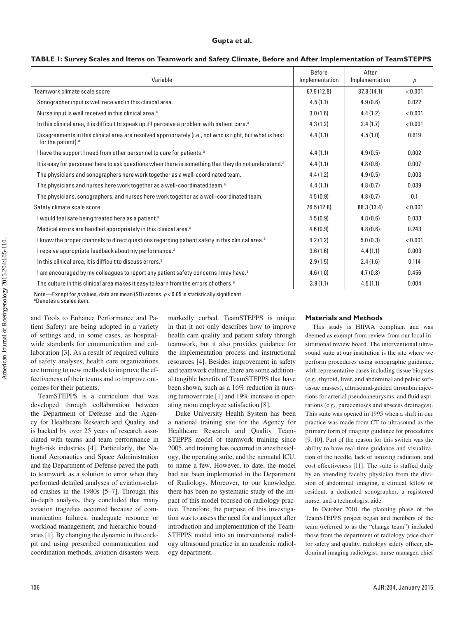### **Gupta et al.**

| Variable                                                                                                                                   | <b>Before</b><br>Implementation | After<br>Implementation | р       |
|--------------------------------------------------------------------------------------------------------------------------------------------|---------------------------------|-------------------------|---------|
| Teamwork climate scale score                                                                                                               | 67.9(12.8)                      | 87.8 (14.1)             | < 0.001 |
| Sonographer input is well received in this clinical area.                                                                                  | 4.5(1.1)                        | 4.9(0.6)                | 0.022   |
| Nurse input is well received in this clinical area. <sup>a</sup>                                                                           | 3.0(1.6)                        | 4.4(1.2)                | < 0.001 |
| In this clinical area, it is difficult to speak up if I perceive a problem with patient care. <sup>a</sup>                                 | 4.3(1.2)                        | 2.4(1.7)                | < 0.001 |
| Disagreements in this clinical area are resolved appropriately (i.e., not who is right, but what is best<br>for the patient). <sup>a</sup> | 4.4(1.1)                        | 4.5(1.0)                | 0.619   |
| I have the support I need from other personnel to care for patients. <sup>a</sup>                                                          | 4.4(1.1)                        | 4.9(0.5)                | 0.002   |
| It is easy for personnel here to ask questions when there is something that they do not understand. <sup>a</sup>                           | 4.4(1.1)                        | 4.8(0.6)                | 0.007   |
| The physicians and sonographers here work together as a well-coordinated team.                                                             | 4.4(1.2)                        | 4.9(0.5)                | 0.003   |
| The physicians and nurses here work together as a well-coordinated team. <sup>a</sup>                                                      | 4.4(1.1)                        | 4.8(0.7)                | 0.039   |
| The physicians, sonographers, and nurses here work together as a well-coordinated team.                                                    | 4.5(0.9)                        | 4.8(0.7)                | 0.1     |
| Safety climate scale score                                                                                                                 | 76.5 (12.8)                     | 88.3 (13.4)             | < 0.001 |
| I would feel safe being treated here as a patient. <sup>a</sup>                                                                            | 4.5(0.9)                        | 4.8(0.6)                | 0.033   |
| Medical errors are handled appropriately in this clinical area. <sup>a</sup>                                                               | 4.6(0.9)                        | 4.8(0.6)                | 0.243   |
| I know the proper channels to direct questions regarding patient safety in this clinical area. <sup>a</sup>                                | 4.2(1.2)                        | 5.0(0.3)                | < 0.001 |
| I receive appropriate feedback about my performance. <sup>a</sup>                                                                          | 3.6(1.6)                        | 4.4(1.1)                | 0.003   |
| In this clinical area, it is difficult to discuss errors. <sup>a</sup>                                                                     | 2.9(1.5)                        | 2.4(1.6)                | 0.114   |
| I am encouraged by my colleagues to report any patient safety concerns I may have. <sup>a</sup>                                            | 4.6(1.0)                        | 4.7(0.8)                | 0.456   |
| The culture in this clinical area makes it easy to learn from the errors of others. <sup>a</sup>                                           | 3.9(1.1)                        | 4.5(1.1)                | 0.004   |

## **TABLE 1: Survey Scales and Items on Teamwork and Safety Climate, Before and After Implementation of TeamSTEPPS**

Note—Except for *p* values, data are mean (SD) scores. *p* < 0.05 is statistically significant.

aDenotes a scaled item.

and Tools to Enhance Performance and Patient Safety) are being adopted in a variety of settings and, in some cases, as hospitalwide standards for communication and collaboration [3]. As a result of required culture of safety analyses, health care organizations are turning to new methods to improve the effectiveness of their teams and to improve outcomes for their patients.

TeamSTEPPS is a curriculum that was developed through collaboration between the Department of Defense and the Agency for Healthcare Research and Quality and is backed by over 25 years of research associated with teams and team performance in high-risk industries [4]. Particularly, the National Aeronautics and Space Administration and the Department of Defense paved the path to teamwork as a solution to error when they performed detailed analyses of aviation-related crashes in the 1980s [5–7]. Through this in-depth analysis, they concluded that many aviation tragedies occurred because of communication failures, inadequate resource or workload management, and hierarchic boundaries [1]. By changing the dynamic in the cockpit and using prescribed communication and coordination methods, aviation disasters were markedly curbed. TeamSTEPPS is unique in that it not only describes how to improve health care quality and patient safety through teamwork, but it also provides guidance for the implementation process and instructional resources [4]. Besides improvement in safety and teamwork culture, there are some additional tangible benefits of TeamSTEPPS that have been shown, such as a 16% reduction in nursing turnover rate [1] and 19% increase in operating room employee satisfaction [8].

Duke University Health System has been a national training site for the Agency for Healthcare Research and Quality Team-STEPPS model of teamwork training since 2005, and training has occurred in anesthesiology, the operating suite, and the neonatal ICU, to name a few. However, to date, the model had not been implemented in the Department of Radiology. Moreover, to our knowledge, there has been no systematic study of the impact of this model focused on radiology practice. Therefore, the purpose of this investigation was to assess the need for and impact after introduction and implementation of the Team-STEPPS model into an interventional radiology ultrasound practice in an academic radiology department.

# **Materials and Methods**

This study is HIPAA compliant and was deemed as exempt from review from our local institutional review board. The interventional ultrasound suite at our institution is the site where we perform procedures using sonographic guidance, with representative cases including tissue biopsies (e.g., thyroid, liver, and abdominal and pelvic softtissue masses), ultrasound-guided thrombin injections for arterial pseudoaneurysms, and fluid aspirations (e.g., paracenteses and abscess drainages). This suite was opened in 1995 when a shift in our practice was made from CT to ultrasound as the primary form of imaging guidance for procedures [9, 10]. Part of the reason for this switch was the ability to have real-time guidance and visualization of the needle, lack of ionizing radiation, and cost effectiveness [11]. The suite is staffed daily by an attending faculty physician from the division of abdominal imaging, a clinical fellow or resident, a dedicated sonographer, a registered nurse, and a technologist aide.

In October 2010, the planning phase of the TeamSTEPPS project began and members of the team (referred to as the "change team") included those from the department of radiology (vice chair for safety and quality, radiology safety officer, abdominal imaging radiologist, nurse manager, chief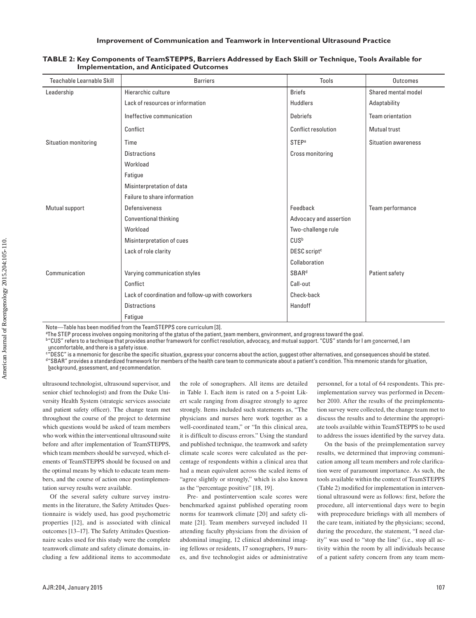| Teachable Learnable Skill | <b>Barriers</b>                                   | Tools                      | <b>Outcomes</b>         |
|---------------------------|---------------------------------------------------|----------------------------|-------------------------|
| Leadership                | Hierarchic culture                                | <b>Briefs</b>              | Shared mental model     |
|                           | Lack of resources or information                  | <b>Huddlers</b>            | Adaptability            |
|                           | Ineffective communication                         | <b>Debriefs</b>            | <b>Team orientation</b> |
|                           | Conflict                                          | <b>Conflict resolution</b> | Mutual trust            |
| Situation monitoring      | Time                                              | <b>STEP</b> <sup>a</sup>   | Situation awareness     |
|                           | <b>Distractions</b>                               | Cross monitoring           |                         |
|                           | Workload                                          |                            |                         |
|                           | Fatique                                           |                            |                         |
|                           | Misinterpretation of data                         |                            |                         |
|                           | Failure to share information                      |                            |                         |
| Mutual support            | <b>Defensiveness</b>                              | Feedback                   | Team performance        |
|                           | <b>Conventional thinking</b>                      | Advocacy and assertion     |                         |
|                           | Workload                                          | Two-challenge rule         |                         |
|                           | Misinterpretation of cues                         | CUS <sup>b</sup>           |                         |
|                           | Lack of role clarity                              | DESC script <sup>c</sup>   |                         |
|                           |                                                   | Collaboration              |                         |
| Communication             | Varying communication styles                      | SBAR <sup>d</sup>          | Patient safety          |
|                           | Conflict                                          | Call-out                   |                         |
|                           | Lack of coordination and follow-up with coworkers | Check-back                 |                         |
|                           | <b>Distractions</b>                               | Handoff                    |                         |
|                           | Fatigue                                           |                            |                         |

# **TABLE 2: Key Components of TeamSTEPPS, Barriers Addressed by Each Skill or Technique, Tools Available for Implementation, and Anticipated Outcomes**

Note—Table has been modified from the TeamSTEPPS core curriculum [3].

<sup>a</sup>The STEP process involves ongoing monitoring of the status of the patient, <u>t</u>eam members, <u>e</u>nvironment, and progress toward the goal.

b"CUS" refers to a technique that provides another framework for conflict resolution, advocacy, and mutual support. "CUS" stands for I am concerned, I am

uncomfortable, and there is a safety issue.

 $\epsilon^\alpha$ DESC" is a mnemonic for describe the specific situation, express your concerns about the action, suggest other alternatives, and consequences should be stated. d"SBAR" provides a standardized framework for members of the health care team to communicate about a patient's condition. This mnemonic stands for situation,

background, assessment, and recommendation.

ultrasound technologist, ultrasound supervisor, and senior chief technologist) and from the Duke University Health System (strategic services associate and patient safety officer). The change team met throughout the course of the project to determine which questions would be asked of team members who work within the interventional ultrasound suite before and after implementation of TeamSTEPPS, which team members should be surveyed, which elements of TeamSTEPPS should be focused on and the optimal means by which to educate team members, and the course of action once postimplementation survey results were available.

Of the several safety culture survey instruments in the literature, the Safety Attitudes Questionnaire is widely used, has good psychometric properties [12], and is associated with clinical outcomes [13–17]. The Safety Attitudes Questionnaire scales used for this study were the complete teamwork climate and safety climate domains, including a few additional items to accommodate the role of sonographers. All items are detailed in Table 1. Each item is rated on a 5-point Likert scale ranging from disagree strongly to agree strongly. Items included such statements as, "The physicians and nurses here work together as a well-coordinated team," or "In this clinical area, it is difficult to discuss errors." Using the standard and published technique, the teamwork and safety climate scale scores were calculated as the percentage of respondents within a clinical area that had a mean equivalent across the scaled items of "agree slightly or strongly," which is also known as the "percentage positive" [18, 19].

Pre- and postintervention scale scores were benchmarked against published operating room norms for teamwork climate [20] and safety climate [21]. Team members surveyed included 11 attending faculty physicians from the division of abdominal imaging, 12 clinical abdominal imaging fellows or residents, 17 sonographers, 19 nurses, and five technologist aides or administrative personnel, for a total of 64 respondents. This preimplementation survey was performed in December 2010. After the results of the preimplementation survey were collected, the change team met to discuss the results and to determine the appropriate tools available within TeamSTEPPS to be used to address the issues identified by the survey data.

On the basis of the preimplementation survey results, we determined that improving communication among all team members and role clarification were of paramount importance. As such, the tools available within the context of TeamSTEPPS (Table 2) modified for implementation in interventional ultrasound were as follows: first, before the procedure, all interventional days were to begin with preprocedure briefings with all members of the care team, initiated by the physicians; second, during the procedure, the statement, "I need clarity" was used to "stop the line" (i.e., stop all activity within the room by all individuals because of a patient safety concern from any team mem-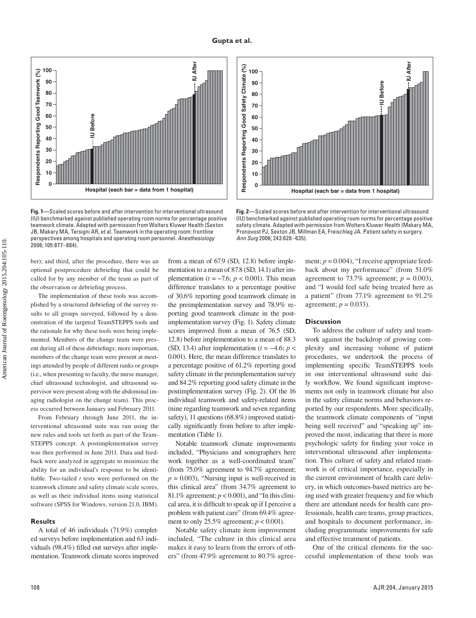

**Fig. 1—**Scaled scores before and after intervention for interventional ultrasound (IU) benchmarked against published operating room norms for percentage positive teamwork climate. Adapted with permission from Wolters Kluwer Health (Sexton JB, Makary MA, Tersigni AR, et al. Teamwork in the operating room: frontline perspectives among hospitals and operating room personnel. *Anesthesiology* 2006; 105:877–884).



**Fig. 2—**Scaled scores before and after intervention for interventional ultrasound (IU) benchmarked against published operating room norms for percentage positive safety climate. Adapted with permission from Wolters Kluwer Health (Makary MA, Pronovost PJ, Sexton JB, Millman EA, Freischlag JA. Patient safety in surgery. *Ann Surg* 2006; 243:628–635).

ber); and third, after the procedure, there was an optional postprocedure debriefing that could be called for by any member of the team as part of the observation or debriefing process.

The implementation of these tools was accomplished by a structured debriefing of the survey results to all groups surveyed, followed by a demonstration of the targeted TeamSTEPPS tools and the rationale for why these tools were being implemented. Members of the change team were present during all of these debriefings; more important, members of the change team were present at meetings attended by people of different ranks or groups (i.e., when presenting to faculty, the nurse manager, chief ultrasound technologist, and ultrasound supervisor were present along with the abdominal imaging radiologist on the change team). This process occurred between January and February 2011.

From February through June 2011, the interventional ultrasound suite was run using the new rules and tools set forth as part of the Team-STEPPS concept. A postimplementation survey was then performed in June 2011. Data and feedback were analyzed in aggregate to minimize the ability for an individual's response to be identifiable. Two-tailed *t* tests were performed on the teamwork climate and safety climate scale scores, as well as their individual items using statistical software (SPSS for Windows, version 21.0, IBM).

#### **Results**

A total of 46 individuals (71.9%) completed surveys before implementation and 63 individuals (98.4%) filled out surveys after implementation. Teamwork climate scores improved from a mean of 67.9 (SD, 12.8) before implementation to a mean of 87.8 (SD, 14.1) after implementation ( $t = -7.6$ ;  $p < 0.001$ ). This mean difference translates to a percentage positive of 30.6% reporting good teamwork climate in the preimplementation survey and 78.9% reporting good teamwork climate in the postimplementation survey (Fig. 1). Safety climate scores improved from a mean of 76.5 (SD, 12.8) before implementation to a mean of 88.3 (SD, 13.4) after implementation (*t* = −4.6; *p* < 0.001). Here, the mean difference translates to a percentage positive of 61.2% reporting good safety climate in the preimplementation survey and 84.2% reporting good safety climate in the postimplementation survey (Fig. 2). Of the 16 individual teamwork and safety-related items (nine regarding teamwork and seven regarding safety), 11 questions (68.8%) improved statistically significantly from before to after implementation (Table 1).

Notable teamwork climate improvements included, "Physicians and sonographers here work together as a well-coordinated team" (from 75.0% agreement to 94.7% agreement;  $p = 0.003$ ), "Nursing input is well-received in this clinical area" (from 34.7% agreement to 81.1% agreement;  $p < 0.001$ ), and "In this clinical area, it is difficult to speak up if I perceive a problem with patient care" (from 69.4% agreement to only 25.5% agreement;  $p < 0.001$ ).

Notable safety climate item improvement included, "The culture in this clinical area makes it easy to learn from the errors of others" (from 47.9% agreement to 80.7% agree-

ment;  $p = 0.004$ ), "I receive appropriate feedback about my performance" (from 51.0% agreement to 73.7% agreement;  $p = 0.003$ ), and "I would feel safe being treated here as a patient" (from 77.1% agreement to 91.2% agreement;  $p = 0.033$ ).

#### **Discussion**

To address the culture of safety and teamwork against the backdrop of growing complexity and increasing volume of patient procedures, we undertook the process of implementing specific TeamSTEPPS tools in our interventional ultrasound suite daily workflow. We found significant improvements not only in teamwork climate but also in the safety climate norms and behaviors reported by our respondents. More specifically, the teamwork climate components of "input being well received" and "speaking up" improved the most, indicating that there is more psychologic safety for finding your voice in interventional ultrasound after implementation. This culture of safety and related teamwork is of critical importance, especially in the current environment of health care delivery, in which outcomes-based metrics are being used with greater frequency and for which there are attendant needs for health care professionals, health care teams, group practices, and hospitals to document performance, including programmatic improvements for safe and effective treatment of patients.

One of the critical elements for the successful implementation of these tools was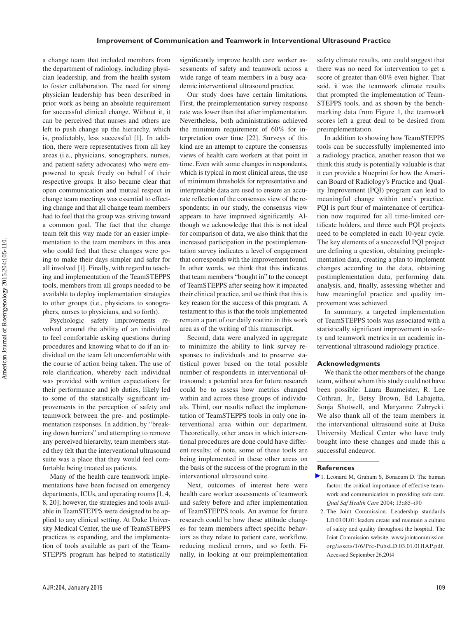## **Improvement of Communication and Teamwork in Interventional Ultrasound Practice**

a change team that included members from the department of radiology, including physician leadership, and from the health system to foster collaboration. The need for strong physician leadership has been described in prior work as being an absolute requirement for successful clinical change. Without it, it can be perceived that nurses and others are left to push change up the hierarchy, which is, predictably, less successful [1]. In addition, there were representatives from all key areas (i.e., physicians, sonographers, nurses, and patient safety advocates) who were empowered to speak freely on behalf of their respective groups. It also became clear that open communication and mutual respect in change team meetings was essential to effecting change and that all change team members had to feel that the group was striving toward a common goal. The fact that the change team felt this way made for an easier implementation to the team members in this area who could feel that these changes were going to make their days simpler and safer for all involved [1]. Finally, with regard to teaching and implementation of the TeamSTEPPS tools, members from all groups needed to be available to deploy implementation strategies to other groups (i.e., physicians to sonographers, nurses to physicians, and so forth).

Psychologic safety improvements revolved around the ability of an individual to feel comfortable asking questions during procedures and knowing what to do if an individual on the team felt uncomfortable with the course of action being taken. The use of role clarification, whereby each individual was provided with written expectations for their performance and job duties, likely led to some of the statistically significant improvements in the perception of safety and teamwork between the pre- and postimplementation responses. In addition, by "breaking down barriers" and attempting to remove any perceived hierarchy, team members stated they felt that the interventional ultrasound suite was a place that they would feel comfortable being treated as patients.

Many of the health care teamwork implementations have been focused on emergency departments, ICUs, and operating rooms [1, 4, 8, 20]; however, the strategies and tools available in TeamSTEPPS were designed to be applied to any clinical setting. At Duke University Medical Center, the use of TeamSTEPPS practices is expanding, and the implementation of tools available as part of the Team-STEPPS program has helped to statistically

significantly improve health care worker assessments of safety and teamwork across a wide range of team members in a busy academic interventional ultrasound practice.

Our study does have certain limitations. First, the preimplementation survey response rate was lower than that after implementation. Nevertheless, both administrations achieved the minimum requirement of 60% for interpretation over time [22]. Surveys of this kind are an attempt to capture the consensus views of health care workers at that point in time. Even with some changes in respondents, which is typical in most clinical areas, the use of minimum thresholds for representative and interpretable data are used to ensure an accurate reflection of the consensus view of the respondents; in our study, the consensus view appears to have improved significantly. Although we acknowledge that this is not ideal for comparison of data, we also think that the increased participation in the postimplementation survey indicates a level of engagement that corresponds with the improvement found. In other words, we think that this indicates that team members "bought in" to the concept of TeamSTEPPS after seeing how it impacted their clinical practice, and we think that this is key reason for the success of this program. A testament to this is that the tools implemented remain a part of our daily routine in this work area as of the writing of this manuscript.

Second, data were analyzed in aggregate to minimize the ability to link survey responses to individuals and to preserve statistical power based on the total possible number of respondents in interventional ultrasound; a potential area for future research could be to assess how metrics changed within and across these groups of individuals. Third, our results reflect the implementation of TeamSTEPPS tools in only one interventional area within our department. Theoretically, other areas in which interventional procedures are done could have different results; of note, some of these tools are being implemented in these other areas on the basis of the success of the program in the interventional ultrasound suite.

Next, outcomes of interest here were health care worker assessments of teamwork and safety before and after implementation of TeamSTEPPS tools. An avenue for future research could be how these attitude changes for team members affect specific behaviors as they relate to patient care, workflow, reducing medical errors, and so forth. Finally, in looking at our preimplementation safety climate results, one could suggest that there was no need for intervention to get a score of greater than 60% even higher. That said, it was the teamwork climate results that prompted the implementation of Team-STEPPS tools, and as shown by the benchmarking data from Figure 1, the teamwork scores left a great deal to be desired from preimplementation.

In addition to showing how TeamSTEPPS tools can be successfully implemented into a radiology practice, another reason that we think this study is potentially valuable is that it can provide a blueprint for how the American Board of Radiology's Practice and Quality Improvement (PQI) program can lead to meaningful change within one's practice. PQI is part four of maintenance of certification now required for all time-limited certificate holders, and three such PQI projects need to be completed in each 10-year cycle. The key elements of a successful PQI project are defining a question, obtaining preimplementation data, creating a plan to implement changes according to the data, obtaining postimplementation data, performing data analysis, and, finally, assessing whether and how meaningful practice and quality improvement was achieved.

In summary, a targeted implementation of TeamSTEPPS tools was associated with a statistically significant improvement in safety and teamwork metrics in an academic interventional ultrasound radiology practice.

#### **Acknowledgments**

We thank the other members of the change team, without whom this study could not have been possible: Laura Baumeister, R. Lee Cothran, Jr., Betsy Brown, Ed Labajetta, Sonja Shotwell, and Maryanne Zabrycki. We also thank all of the team members in the interventional ultrasound suite at Duke University Medical Center who have truly bought into these changes and made this a successful endeavor.

#### **References**

- [1](http://www.ajronline.org/action/showLinks?pmid=15465961&crossref=10.1136%2Fqshc.2004.010033&citationId=p_1). Leonard M, Graham S, Bonacum D. The human factor: the critical importance of effective teamwork and communication in providing safe care. *Qual Saf Health Care* 2004; 13:i85–i90
- 2. The Joint Commission. Leadership standards LD.03.01.01: leaders create and maintain a culture of safety and quality throughout the hospital. The Joint Commission website. www.jointcommission. org/assets/1/6/Pre-PubsLD.03.01.01HAP.pdf. Accessed September 26,2014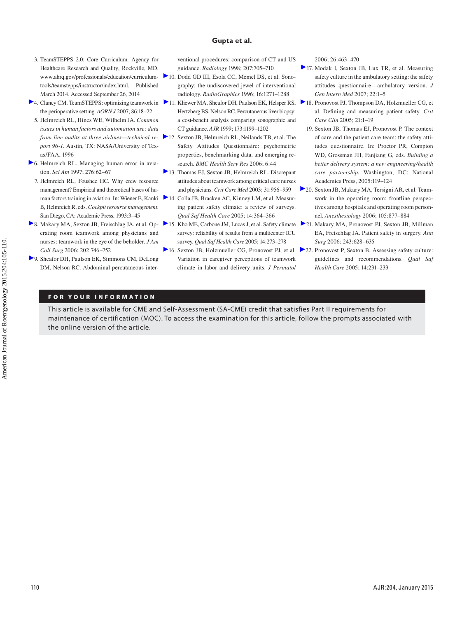# **Gupta et al.**

- 3. TeamSTEPPS 2.0: Core Curriculum. Agency for Healthcare Research and Quality, Rockville, MD. www.ahrq.gov/professionals/education/curriculumtools/teamstepps/instructor/index.html. Published March 2014. Accessed September 26, 2014
- the perioperative setting. *AORN J* 2007; 86:18–22
- 5. Helmreich RL, Hines WE, Wilhelm JA. *Common issues in human factors and automation use: data from line audits at three airlines—technical report 96-1.* Austin, TX: NASA/University of Texas/FAA, 1996
- 6. Helmreich RL. Managing human error in aviation. *Sci Am* 1997; 276:62–67
	- 7. Helmreich RL, Foushee HC. Why crew resource management? Empirical and theoretical bases of human factors training in aviation. In: Wiener E, Kanki B, Helmreich R, eds. *Cockpit resource management*. San Diego, CA: Academic Press, 1993:3–45
- 8. Makary MA, Sexton JB, Freischlag JA, et al. Operating room teamwork among physicians and nurses: teamwork in the eye of the beholder. *J Am Coll Surg* 2006; 202:746–752
- [9](http://www.ajronline.org/action/showLinks?pmid=9609893&crossref=10.1148%2Fradiology.207.3.9609893&citationId=p_9). Sheafor DH, Paulson EK, Simmons CM, DeLong DM, Nelson RC. Abdominal percutaneous inter-

ventional procedures: comparison of CT and US guidance. *Radiology* 1998; 207:705–710

- [1](http://www.ajronline.org/action/showLinks?pmid=8946535&crossref=10.1148%2Fradiographics.16.6.8946535&citationId=p_10)0. Dodd GD III, Esola CC, Memel DS, et al. Sonography: the undiscovered jewel of interventional radiology. *RadioGraphics* 1996; 16:1271–1288
- 4. Clancy CM. TeamSTEPPS: optimizing teamwork in 11. Kliewer MA, Sheafor DH, Paulson EK, Helsper RS, Hertzberg BS, Nelson RC. Percutaneous liver biopsy: a cost-benefit analysis comparing sonographic and CT guidance. *AJR* 1999; 173:1199–1202
	- [1](http://www.ajronline.org/action/showLinks?pmid=16584553&crossref=10.1186%2F1472-6963-6-44&citationId=p_12)2. Sexton JB, Helmreich RL, Neilands TB, et al. The Safety Attitudes Questionnaire: psychometric properties, benchmarking data, and emerging research. *BMC Health Serv Res* 2006; 6:44
	- [1](http://www.ajronline.org/action/showLinks?pmid=12627011&crossref=10.1097%2F01.CCM.0000056183.89175.76&citationId=p_13)3. Thomas EJ, Sexton JB, Helmreich RL. Discrepant attitudes about teamwork among critical care nurses and physicians. *Crit Care Med* 2003; 31:956–959
	- 14. Colla JB, Bracken AC, Kinney LM, et al. Measuring patient safety climate: a review of surveys. *Qual Saf Health Care* 2005; 14:364–366
	- survey: reliability of results from a multicenter ICU survey. *Qual Saf Health Care* 2005; 14:273–278
	- [1](http://www.ajronline.org/action/showLinks?pmid=16775621&crossref=10.1038%2Fsj.jp.7211556&citationId=p_16)6. Sexton JB, Holzmueller CG, Pronovost PJ, et al. [2](http://www.ajronline.org/action/showLinks?pmid=16076784&crossref=10.1136%2Fqshc.2005.015180&citationId=p_22)2. Pronovost P, Sexton B. Assessing safety culture: Variation in caregiver perceptions of teamwork climate in labor and delivery units. *J Perinatol*

2006; 26:463–470

- [1](http://www.ajronline.org/action/showLinks?pmid=17351834&crossref=10.1007%2Fs11606-007-0114-7&citationId=p_17)7. Modak I, Sexton JB, Lux TR, et al. Measuring safety culture in the ambulatory setting: the safety attitudes questionnaire—ambulatory version. *J Gen Intern Med* 2007; 22:1–5
- 18. Pronovost PJ, Thompson DA, Holzmueller CG, et al. Defining and measuring patient safety. *Crit Care Clin* 2005; 21:1–19
	- 19. Sexton JB, Thomas EJ, Pronovost P. The context of care and the patient care team: the safety attitudes questionnaire. In: Proctor PR, Compton WD, Grossman JH, Fanjiang G, eds. *Building a better delivery system: a new engineering/health care partnership*. Washington, DC: National Academies Press, 2005:119–124
- [2](http://www.ajronline.org/action/showLinks?pmid=17065879&crossref=10.1097%2F00000542-200611000-00006&citationId=p_20)0. Sexton JB, Makary MA, Tersigni AR, et al. Teamwork in the operating room: frontline perspectives among hospitals and operating room personnel. *Anesthesiology* 2006; 105:877–884
- [1](http://www.ajronline.org/action/showLinks?pmid=16076792&crossref=10.1136%2Fqshc.2005.014316&citationId=p_15)5. Kho ME, Carbone JM, Lucas J, et al. Safety climate 21. Makary MA, Pronovost PJ, Sexton JB, Millman EA, Freischlag JA. Patient safety in surgery. *Ann Surg* 2006; 243:628–635
	- guidelines and recommendations. *Qual Saf Health Care* 2005; 14:231–233

# FOR YOUR INFORMATION

This article is available for CME and Self-Assessment (SA-CME) credit that satisfies Part II requirements for maintenance of certification (MOC). To access the examination for this article, follow the prompts associated with the online version of the article.